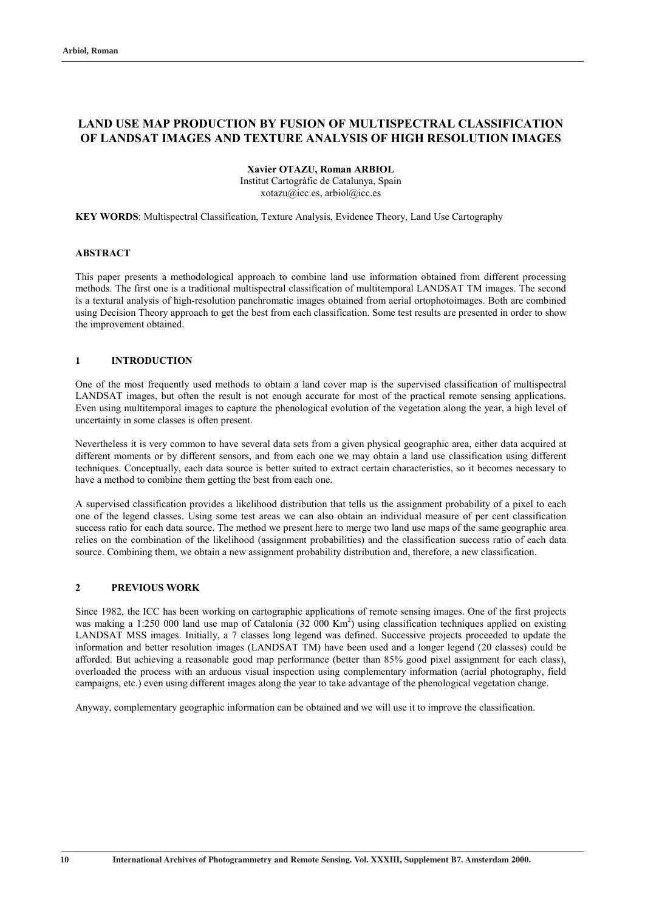# **LAND USE MAP PRODUCTION BY FUSION OF MULTISPECTRAL CLASSIFICATION OF LANDSAT IMAGES AND TEXTURE ANALYSIS OF HIGH RESOLUTION IMAGES**

### **Xavier OTAZU, Roman ARBIOL**

Institut Cartogràfic de Catalunya, Spain xotazu@icc.es, arbiol@icc.es

**KEY WORDS**: Multispectral Classification, Texture Analysis, Evidence Theory, Land Use Cartography

#### **ABSTRACT**

This paper presents a methodological approach to combine land use information obtained from different processing methods. The first one is a traditional multispectral classification of multitemporal LANDSAT TM images. The second is a textural analysis of high-resolution panchromatic images obtained from aerial ortophotoimages. Both are combined using Decision Theory approach to get the best from each classification. Some test results are presented in order to show the improvement obtained.

#### **1 INTRODUCTION**

One of the most frequently used methods to obtain a land cover map is the supervised classification of multispectral LANDSAT images, but often the result is not enough accurate for most of the practical remote sensing applications. Even using multitemporal images to capture the phenological evolution of the vegetation along the year, a high level of uncertainty in some classes is often present.

Nevertheless it is very common to have several data sets from a given physical geographic area, either data acquired at different moments or by different sensors, and from each one we may obtain a land use classification using different techniques. Conceptually, each data source is better suited to extract certain characteristics, so it becomes necessary to have a method to combine them getting the best from each one.

A supervised classification provides a likelihood distribution that tells us the assignment probability of a pixel to each one of the legend classes. Using some test areas we can also obtain an individual measure of per cent classification success ratio for each data source. The method we present here to merge two land use maps of the same geographic area relies on the combination of the likelihood (assignment probabilities) and the classification success ratio of each data source. Combining them, we obtain a new assignment probability distribution and, therefore, a new classification.

#### **2 PREVIOUS WORK**

Since 1982, the ICC has been working on cartographic applications of remote sensing images. One of the first projects was making a 1:250 000 land use map of Catalonia  $(32\ 000\ km^2)$  using classification techniques applied on existing LANDSAT MSS images. Initially, a 7 classes long legend was defined. Successive projects proceeded to update the information and better resolution images (LANDSAT TM) have been used and a longer legend (20 classes) could be afforded. But achieving a reasonable good map performance (better than 85% good pixel assignment for each class), overloaded the process with an arduous visual inspection using complementary information (aerial photography, field campaigns, etc.) even using different images along the year to take advantage of the phenological vegetation change.

Anyway, complementary geographic information can be obtained and we will use it to improve the classification.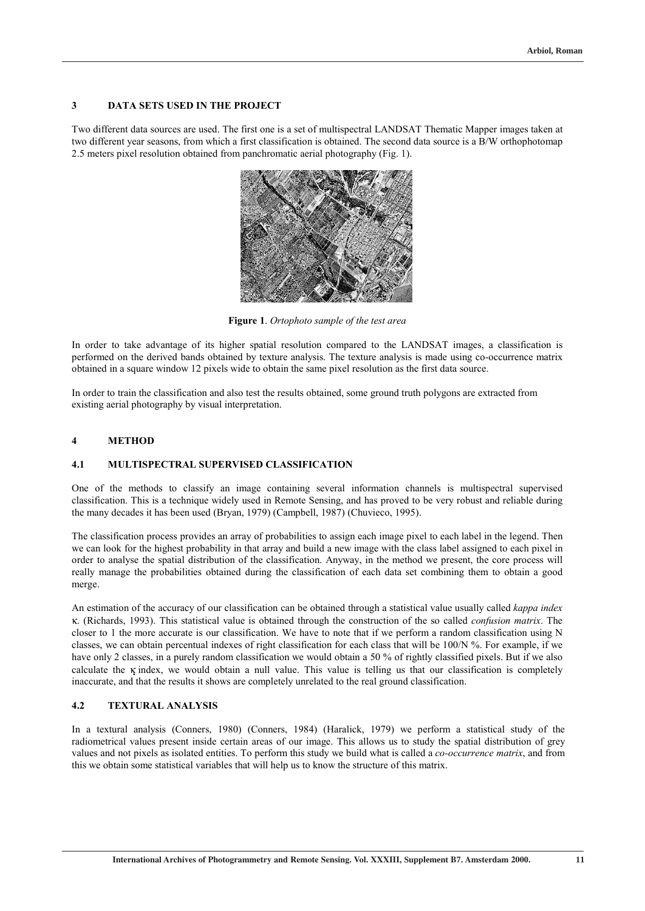### **3 DATA SETS USED IN THE PROJECT**

Two different data sources are used. The first one is a set of multispectral LANDSAT Thematic Mapper images taken at two different year seasons, from which a first classification is obtained. The second data source is a B/W orthophotomap 2.5 meters pixel resolution obtained from panchromatic aerial photography (Fig. 1).



**Figure 1**. *Ortophoto sample of the test area*

In order to take advantage of its higher spatial resolution compared to the LANDSAT images, a classification is performed on the derived bands obtained by texture analysis. The texture analysis is made using co-occurrence matrix obtained in a square window 12 pixels wide to obtain the same pixel resolution as the first data source.

In order to train the classification and also test the results obtained, some ground truth polygons are extracted from existing aerial photography by visual interpretation.

#### **4 METHOD**

#### **4.1 MULTISPECTRAL SUPERVISED CLASSIFICATION**

One of the methods to classify an image containing several information channels is multispectral supervised classification. This is a technique widely used in Remote Sensing, and has proved to be very robust and reliable during the many decades it has been used (Bryan, 1979) (Campbell, 1987) (Chuvieco, 1995).

The classification process provides an array of probabilities to assign each image pixel to each label in the legend. Then we can look for the highest probability in that array and build a new image with the class label assigned to each pixel in order to analyse the spatial distribution of the classification. Anyway, in the method we present, the core process will really manage the probabilities obtained during the classification of each data set combining them to obtain a good merge.

An estimation of the accuracy of our classification can be obtained through a statistical value usually called *kappa index*  κ. (Richards, 1993). This statistical value is obtained through the construction of the so called *confusion matrix*. The closer to 1 the more accurate is our classification. We have to note that if we perform a random classification using N classes, we can obtain percentual indexes of right classification for each class that will be 100/N %. For example, if we have only 2 classes, in a purely random classification we would obtain a 50 % of rightly classified pixels. But if we also calculate the  $\kappa$  index, we would obtain a null value. This value is telling us that our classification is completely inaccurate, and that the results it shows are completely unrelated to the real ground classification.

### **4.2 TEXTURAL ANALYSIS**

In a textural analysis (Conners, 1980) (Conners, 1984) (Haralick, 1979) we perform a statistical study of the radiometrical values present inside certain areas of our image. This allows us to study the spatial distribution of grey values and not pixels as isolated entities. To perform this study we build what is called a *co-occurrence matrix*, and from this we obtain some statistical variables that will help us to know the structure of this matrix.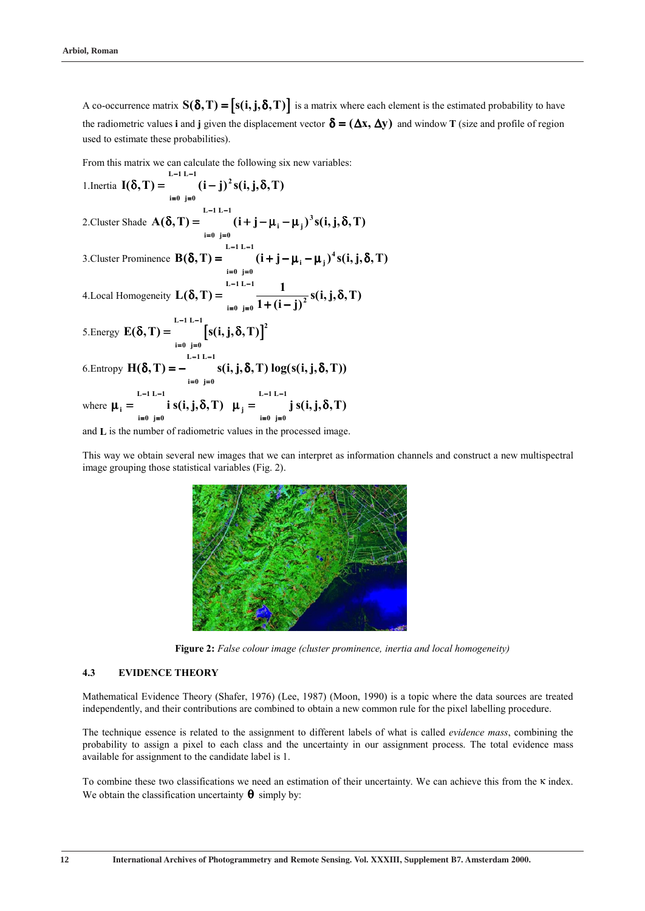A co-occurrence matrix  $S(\delta, T) = [s(i, j, \delta, T)]$  is a matrix where each element is the estimated probability to have the radiometric values **i** and **j** given the displacement vector  $\delta = (\Delta x, \Delta y)$  and window **T** (size and profile of region used to estimate these probabilities).

From this matrix we can calculate the following six new variables:

1. Inertia 
$$
I(\delta, T) = \int_{i=0}^{L-1} (i-j)^2 s(i, j, \delta, T)
$$
  
\n2. Cluster Shade  $A(\delta, T) = \int_{i=0}^{L-1} (i+j-\mu_i-\mu_j)^3 s(i, j, \delta, T)$   
\n3. Cluster Prominence  $B(\delta, T) = \int_{i=0}^{L-1} (i+j-\mu_i-\mu_j)^4 s(i, j, \delta, T)$   
\n4. Local Homogeneity  $L(\delta, T) = \int_{i=0}^{L-1} \frac{1}{j} (i+j-\mu_i-\mu_j)^4 s(i, j, \delta, T)$   
\n5. Energy  $E(\delta, T) = \int_{i=0}^{L-1} [s(i, j, \delta, T)]^2$   
\n6. Entropy  $H(\delta, T) = - \int_{i=0}^{L-1} [s(i, j, \delta, T)]^2$   
\n6. Entropy  $H(\delta, T) = - \int_{i=0}^{L-1} [s(i, j, \delta, T)]^2$   
\nwhere  $\mu_i = \int_{i=0}^{L-1} i s(i, j, \delta, T) \mu_j = \int_{i=0}^{L-1} j s(i, j, \delta, T)$   
\nand L is the number of radiometric values in the processed image

and **L** is the number of radiometric values in the processed image.

This way we obtain several new images that we can interpret as information channels and construct a new multispectral image grouping those statistical variables (Fig. 2).



**Figure 2:** *False colour image (cluster prominence, inertia and local homogeneity)*

# **4.3 EVIDENCE THEORY**

Mathematical Evidence Theory (Shafer, 1976) (Lee, 1987) (Moon, 1990) is a topic where the data sources are treated independently, and their contributions are combined to obtain a new common rule for the pixel labelling procedure.

The technique essence is related to the assignment to different labels of what is called *evidence mass*, combining the probability to assign a pixel to each class and the uncertainty in our assignment process. The total evidence mass available for assignment to the candidate label is 1.

To combine these two classifications we need an estimation of their uncertainty. We can achieve this from the κ index. We obtain the classification uncertainty  $\theta$  simply by: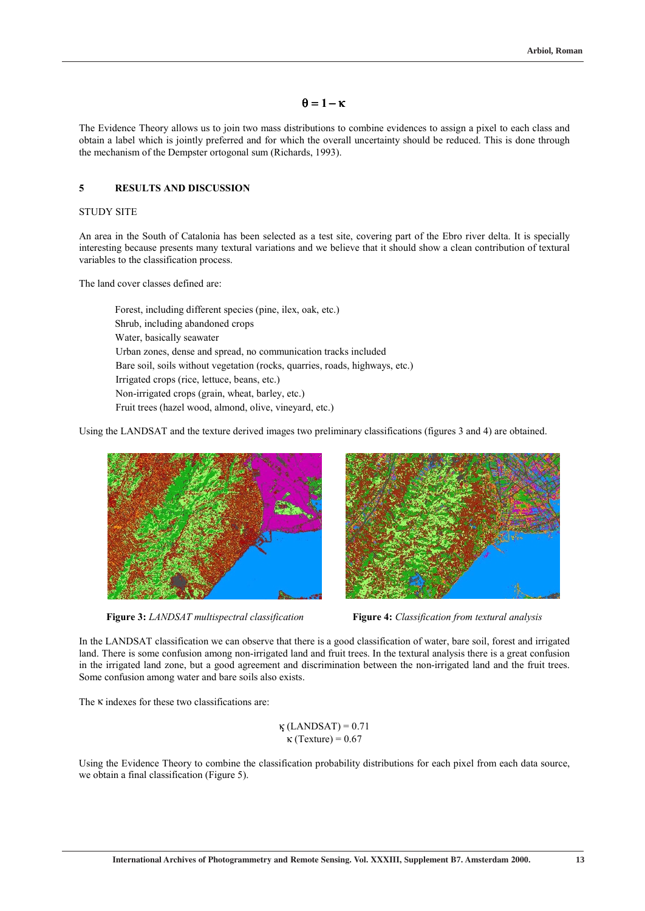# $\theta = 1 - \kappa$

The Evidence Theory allows us to join two mass distributions to combine evidences to assign a pixel to each class and obtain a label which is jointly preferred and for which the overall uncertainty should be reduced. This is done through the mechanism of the Dempster ortogonal sum (Richards, 1993).

### **5 RESULTS AND DISCUSSION**

#### STUDY SITE

An area in the South of Catalonia has been selected as a test site, covering part of the Ebro river delta. It is specially interesting because presents many textural variations and we believe that it should show a clean contribution of textural variables to the classification process.

The land cover classes defined are:

 Forest, including different species (pine, ilex, oak, etc.) Shrub, including abandoned crops Water, basically seawater Urban zones, dense and spread, no communication tracks included Bare soil, soils without vegetation (rocks, quarries, roads, highways, etc.) Irrigated crops (rice, lettuce, beans, etc.) Non-irrigated crops (grain, wheat, barley, etc.) Fruit trees (hazel wood, almond, olive, vineyard, etc.)

Using the LANDSAT and the texture derived images two preliminary classifications (figures 3 and 4) are obtained.



**Figure 3:** *LANDSAT multispectral classification* **Figure 4:** *Classification from textural analysis* 



In the LANDSAT classification we can observe that there is a good classification of water, bare soil, forest and irrigated land. There is some confusion among non-irrigated land and fruit trees. In the textural analysis there is a great confusion in the irrigated land zone, but a good agreement and discrimination between the non-irrigated land and the fruit trees. Some confusion among water and bare soils also exists.

The  $\kappa$  indexes for these two classifications are:

$$
\kappa \text{(LANDSAT)} = 0.71
$$
  

$$
\kappa \text{(Texture)} = 0.67
$$

Using the Evidence Theory to combine the classification probability distributions for each pixel from each data source, we obtain a final classification (Figure 5).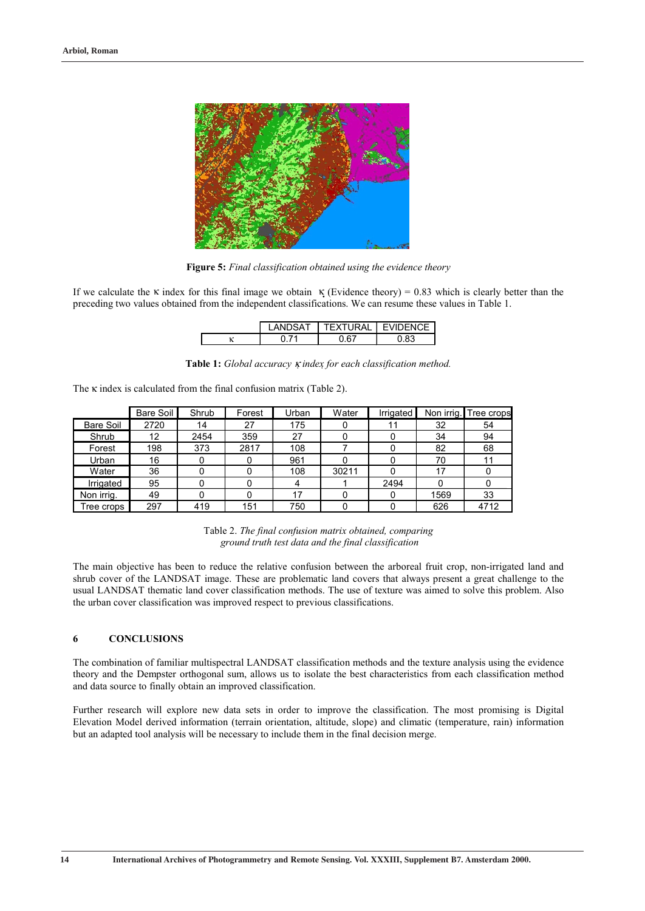

**Figure 5:** *Final classification obtained using the evidence theory* 

If we calculate the κ index for this final image we obtain  $κ$  (Evidence theory) = 0.83 which is clearly better than the preceding two values obtained from the independent classifications. We can resume these values in Table 1.

| I ANDSAT | TEXTURAL | <b>FVIDENCE</b> |  |
|----------|----------|-----------------|--|
|          | , 67     | ר פו            |  |

**Table 1:** *Global accuracy* <sup>κ</sup> *index for each classification method.* 

The  $\kappa$  index is calculated from the final confusion matrix (Table 2).

|                  | Bare Soil | Shrub | Forest | Urban | Water | Irrigated | Non irrig. | Tree crops |
|------------------|-----------|-------|--------|-------|-------|-----------|------------|------------|
| <b>Bare Soil</b> | 2720      | 14    | 27     | 175   |       | 11        | 32         | 54         |
| Shrub            | 12        | 2454  | 359    | 27    |       |           | 34         | 94         |
| Forest           | 198       | 373   | 2817   | 108   |       |           | 82         | 68         |
| Urban            | 16        |       |        | 961   |       |           | 70         |            |
| Water            | 36        |       |        | 108   | 30211 |           | 17         |            |
| Irrigated        | 95        |       |        | 4     |       | 2494      |            |            |
| Non irrig.       | 49        |       |        | 17    |       |           | 1569       | 33         |
| Free crops       | 297       | 419   | 151    | 750   |       |           | 626        | 4712       |

Table 2. *The final confusion matrix obtained, comparing ground truth test data and the final classification* 

The main objective has been to reduce the relative confusion between the arboreal fruit crop, non-irrigated land and shrub cover of the LANDSAT image. These are problematic land covers that always present a great challenge to the usual LANDSAT thematic land cover classification methods. The use of texture was aimed to solve this problem. Also the urban cover classification was improved respect to previous classifications.

### **6 CONCLUSIONS**

The combination of familiar multispectral LANDSAT classification methods and the texture analysis using the evidence theory and the Dempster orthogonal sum, allows us to isolate the best characteristics from each classification method and data source to finally obtain an improved classification.

Further research will explore new data sets in order to improve the classification. The most promising is Digital Elevation Model derived information (terrain orientation, altitude, slope) and climatic (temperature, rain) information but an adapted tool analysis will be necessary to include them in the final decision merge.